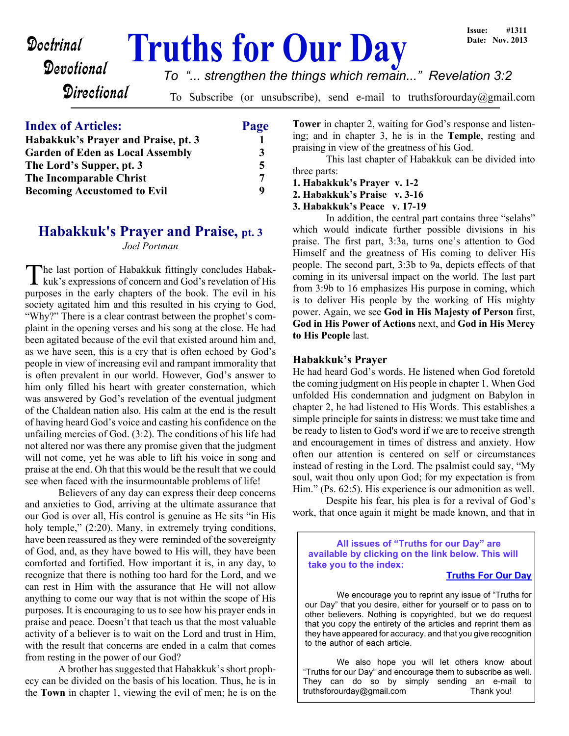# **Doctrinal Truths for Our Day**

# **Devotional**

*To "... strengthen the things which remain..." Revelation 3:2*

**Directional** 

To Subscribe (or unsubscribe), send e-mail to truthsforourday@gmail.com

## **Index of Articles: Page Habakkuk's Prayer and Praise, pt. 3 1 Garden of Eden as Local Assembly 3** The Lord's Supper, pt. 3 5 **The Incomparable Christ** 7 **Becoming Accustomed to Evil** 9

# **Habakkuk's Prayer and Praise, pt. 3** *Joel Portman*

The last portion of Habakkuk fittingly concludes Habak-<br>kuk's expressions of concern and God's revelation of His kuk's expressions of concern and God's revelation of His purposes in the early chapters of the book. The evil in his society agitated him and this resulted in his crying to God, "Why?" There is a clear contrast between the prophet's complaint in the opening verses and his song at the close. He had been agitated because of the evil that existed around him and, as we have seen, this is a cry that is often echoed by God's people in view of increasing evil and rampant immorality that is often prevalent in our world. However, God's answer to him only filled his heart with greater consternation, which was answered by God's revelation of the eventual judgment of the Chaldean nation also. His calm at the end is the result of having heard God's voice and casting his confidence on the unfailing mercies of God. (3:2). The conditions of his life had not altered nor was there any promise given that the judgment will not come, yet he was able to lift his voice in song and praise at the end. Oh that this would be the result that we could see when faced with the insurmountable problems of life!

 Believers of any day can express their deep concerns and anxieties to God, arriving at the ultimate assurance that our God is over all, His control is genuine as He sits "in His holy temple,"  $(2:20)$ . Many, in extremely trying conditions, have been reassured as they were reminded of the sovereignty of God, and, as they have bowed to His will, they have been comforted and fortified. How important it is, in any day, to recognize that there is nothing too hard for the Lord, and we can rest in Him with the assurance that He will not allow anything to come our way that is not within the scope of His purposes. It is encouraging to us to see how his prayer ends in praise and peace. Doesn't that teach us that the most valuable activity of a believer is to wait on the Lord and trust in Him, with the result that concerns are ended in a calm that comes from resting in the power of our God?

 A brother has suggested that Habakkuk's short prophecy can be divided on the basis of his location. Thus, he is in the **Town** in chapter 1, viewing the evil of men; he is on the

**Tower** in chapter 2, waiting for God's response and listening; and in chapter 3, he is in the **Temple**, resting and praising in view of the greatness of his God.

 This last chapter of Habakkuk can be divided into three parts:

- **1. Habakkuk's Prayer v. 1-2**
- **2. Habakkuk's Praise v. 3-16**
- **3. Habakkuk's Peace v. 17-19**

 In addition, the central part contains three "selahs" which would indicate further possible divisions in his praise. The first part, 3:3a, turns one's attention to God Himself and the greatness of His coming to deliver His people. The second part, 3:3b to 9a, depicts effects of that coming in its universal impact on the world. The last part from 3:9b to 16 emphasizes His purpose in coming, which is to deliver His people by the working of His mighty power. Again, we see **God in His Majesty of Person** first, **God in His Power of Actions** next, and **God in His Mercy to His People** last.

#### **Habakkuk's Prayer**

He had heard God's words. He listened when God foretold the coming judgment on His people in chapter 1. When God unfolded His condemnation and judgment on Babylon in chapter 2, he had listened to His Words. This establishes a simple principle for saints in distress: we must take time and be ready to listen to God's word if we are to receive strength and encouragement in times of distress and anxiety. How often our attention is centered on self or circumstances instead of resting in the Lord. The psalmist could say, "My soul, wait thou only upon God; for my expectation is from Him." (Ps. 62:5). His experience is our admonition as well.

 Despite his fear, his plea is for a revival of God's work, that once again it might be made known, and that in

**All issues of "Truths for our Day" are available by clicking on the link below. This will take you to the index:**

#### **[Truths For Our Day](http://truthsforourday.com)**

 We encourage you to reprint any issue of "Truths for our Day" that you desire, either for yourself or to pass on to other believers. Nothing is copyrighted, but we do request that you copy the entirety of the articles and reprint them as they have appeared for accuracy, and that you give recognition to the author of each article.

 We also hope you will let others know about "Truths for our Day" and encourage them to subscribe as well. They can do so by simply sending an e-mail to truthsforourday@gmail.com Thank you!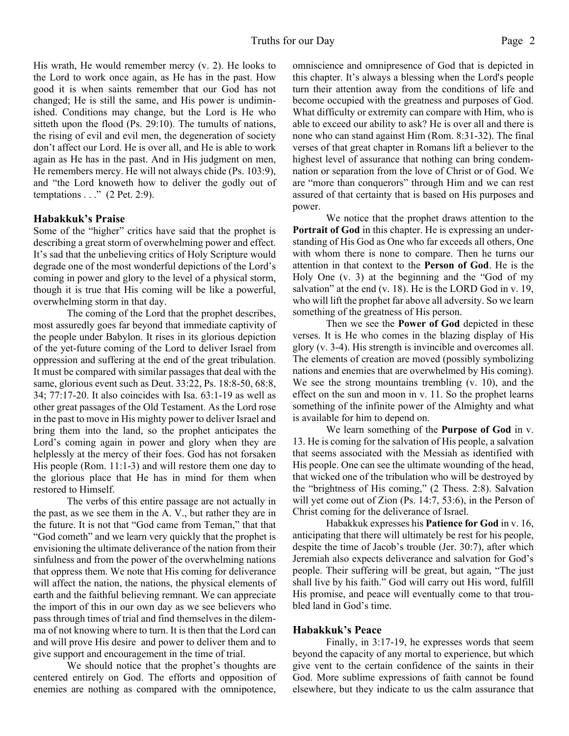His wrath, He would remember mercy (v. 2). He looks to the Lord to work once again, as He has in the past. How good it is when saints remember that our God has not changed; He is still the same, and His power is undiminished. Conditions may change, but the Lord is He who sitteth upon the flood (Ps. 29:10). The tumults of nations, the rising of evil and evil men, the degeneration of society don't affect our Lord. He is over all, and He is able to work again as He has in the past. And in His judgment on men, He remembers mercy. He will not always chide (Ps. 103:9), and "the Lord knoweth how to deliver the godly out of temptations . . ." (2 Pet. 2:9).

#### **Habakkuk's Praise**

Some of the "higher" critics have said that the prophet is describing a great storm of overwhelming power and effect. It's sad that the unbelieving critics of Holy Scripture would degrade one of the most wonderful depictions of the Lord's coming in power and glory to the level of a physical storm, though it is true that His coming will be like a powerful, overwhelming storm in that day.

 The coming of the Lord that the prophet describes, most assuredly goes far beyond that immediate captivity of the people under Babylon. It rises in its glorious depiction of the yet-future coming of the Lord to deliver Israel from oppression and suffering at the end of the great tribulation. It must be compared with similar passages that deal with the same, glorious event such as Deut. 33:22, Ps. 18:8-50, 68:8, 34; 77:17-20. It also coincides with Isa. 63:1-19 as well as other great passages of the Old Testament. As the Lord rose in the past to move in His mighty power to deliver Israel and bring them into the land, so the prophet anticipates the Lord's coming again in power and glory when they are helplessly at the mercy of their foes. God has not forsaken His people (Rom. 11:1-3) and will restore them one day to the glorious place that He has in mind for them when restored to Himself.

 The verbs of this entire passage are not actually in the past, as we see them in the A. V., but rather they are in the future. It is not that "God came from Teman," that that "God cometh" and we learn very quickly that the prophet is envisioning the ultimate deliverance of the nation from their sinfulness and from the power of the overwhelming nations that oppress them. We note that His coming for deliverance will affect the nation, the nations, the physical elements of earth and the faithful believing remnant. We can appreciate the import of this in our own day as we see believers who pass through times of trial and find themselves in the dilemma of not knowing where to turn. It is then that the Lord can and will prove His desire and power to deliver them and to give support and encouragement in the time of trial.

 We should notice that the prophet's thoughts are centered entirely on God. The efforts and opposition of enemies are nothing as compared with the omnipotence,

omniscience and omnipresence of God that is depicted in this chapter. It's always a blessing when the Lord's people turn their attention away from the conditions of life and become occupied with the greatness and purposes of God. What difficulty or extremity can compare with Him, who is able to exceed our ability to ask? He is over all and there is none who can stand against Him (Rom. 8:31-32). The final verses of that great chapter in Romans lift a believer to the highest level of assurance that nothing can bring condemnation or separation from the love of Christ or of God. We are "more than conquerors" through Him and we can rest assured of that certainty that is based on His purposes and power.

 We notice that the prophet draws attention to the **Portrait of God** in this chapter. He is expressing an understanding of His God as One who far exceeds all others, One with whom there is none to compare. Then he turns our attention in that context to the **Person of God**. He is the Holy One (v. 3) at the beginning and the "God of my salvation" at the end (v. 18). He is the LORD God in v. 19, who will lift the prophet far above all adversity. So we learn something of the greatness of His person.

 Then we see the **Power of God** depicted in these verses. It is He who comes in the blazing display of His glory (v. 3-4). His strength is invincible and overcomes all. The elements of creation are moved (possibly symbolizing nations and enemies that are overwhelmed by His coming). We see the strong mountains trembling (v. 10), and the effect on the sun and moon in v. 11. So the prophet learns something of the infinite power of the Almighty and what is available for him to depend on.

 We learn something of the **Purpose of God** in v. 13. He is coming for the salvation of His people, a salvation that seems associated with the Messiah as identified with His people. One can see the ultimate wounding of the head, that wicked one of the tribulation who will be destroyed by the "brightness of His coming," (2 Thess. 2:8). Salvation will yet come out of Zion (Ps. 14:7, 53:6), in the Person of Christ coming for the deliverance of Israel.

 Habakkuk expresses his **Patience for God** in v. 16, anticipating that there will ultimately be rest for his people, despite the time of Jacob's trouble (Jer. 30:7), after which Jeremiah also expects deliverance and salvation for God's people. Their suffering will be great, but again, "The just shall live by his faith." God will carry out His word, fulfill His promise, and peace will eventually come to that troubled land in God's time.

#### **Habakkuk's Peace**

 Finally, in 3:17-19, he expresses words that seem beyond the capacity of any mortal to experience, but which give vent to the certain confidence of the saints in their God. More sublime expressions of faith cannot be found elsewhere, but they indicate to us the calm assurance that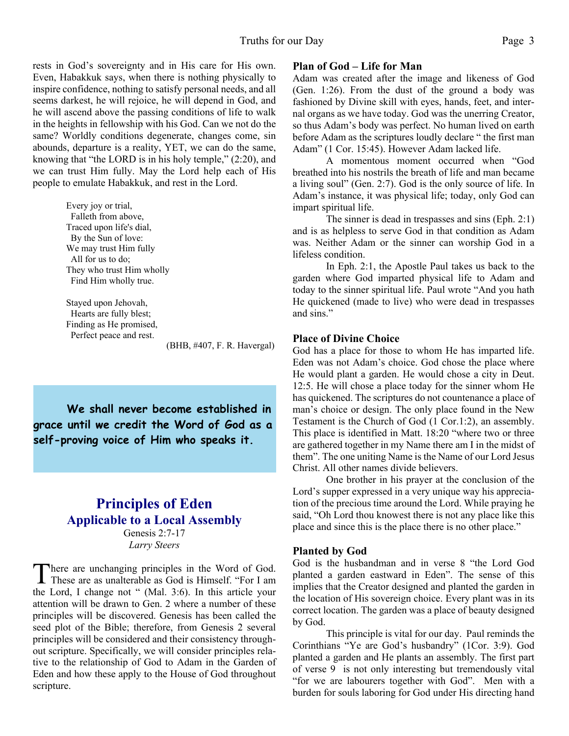rests in God's sovereignty and in His care for His own. Even, Habakkuk says, when there is nothing physically to inspire confidence, nothing to satisfy personal needs, and all seems darkest, he will rejoice, he will depend in God, and he will ascend above the passing conditions of life to walk in the heights in fellowship with his God. Can we not do the same? Worldly conditions degenerate, changes come, sin abounds, departure is a reality, YET, we can do the same, knowing that "the LORD is in his holy temple," (2:20), and we can trust Him fully. May the Lord help each of His people to emulate Habakkuk, and rest in the Lord.

> Every joy or trial, Falleth from above, Traced upon life's dial, By the Sun of love: We may trust Him fully All for us to do; They who trust Him wholly Find Him wholly true.

 Stayed upon Jehovah, Hearts are fully blest; Finding as He promised, Perfect peace and rest.

(BHB, #407, F. R. Havergal)

**We shall never become established in grace until we credit the Word of God as a self-proving voice of Him who speaks it.**

# **Principles of Eden Applicable to a Local Assembly**

Genesis 2:7-17 *Larry Steers*

There are unchanging principles in the Word of God.<br>These are as unalterable as God is Himself. "For I am here are unchanging principles in the Word of God. the Lord, I change not " (Mal. 3:6). In this article your attention will be drawn to Gen. 2 where a number of these principles will be discovered. Genesis has been called the seed plot of the Bible; therefore, from Genesis 2 several principles will be considered and their consistency throughout scripture. Specifically, we will consider principles relative to the relationship of God to Adam in the Garden of Eden and how these apply to the House of God throughout scripture.

#### **Plan of God – Life for Man**

Adam was created after the image and likeness of God (Gen. 1:26). From the dust of the ground a body was fashioned by Divine skill with eyes, hands, feet, and internal organs as we have today. God was the unerring Creator, so thus Adam's body was perfect. No human lived on earth before Adam as the scriptures loudly declare " the first man Adam" (1 Cor. 15:45). However Adam lacked life.

 A momentous moment occurred when "God breathed into his nostrils the breath of life and man became a living soul" (Gen. 2:7). God is the only source of life. In Adam's instance, it was physical life; today, only God can impart spiritual life.

 The sinner is dead in trespasses and sins (Eph. 2:1) and is as helpless to serve God in that condition as Adam was. Neither Adam or the sinner can worship God in a lifeless condition.

 In Eph. 2:1, the Apostle Paul takes us back to the garden where God imparted physical life to Adam and today to the sinner spiritual life. Paul wrote "And you hath He quickened (made to live) who were dead in trespasses and sins."

#### **Place of Divine Choice**

God has a place for those to whom He has imparted life. Eden was not Adam's choice. God chose the place where He would plant a garden. He would chose a city in Deut. 12:5. He will chose a place today for the sinner whom He has quickened. The scriptures do not countenance a place of man's choice or design. The only place found in the New Testament is the Church of God (1 Cor.1:2), an assembly. This place is identified in Matt. 18:20 "where two or three are gathered together in my Name there am I in the midst of them". The one uniting Name is the Name of our Lord Jesus Christ. All other names divide believers.

 One brother in his prayer at the conclusion of the Lord's supper expressed in a very unique way his appreciation of the precious time around the Lord. While praying he said, "Oh Lord thou knowest there is not any place like this place and since this is the place there is no other place."

#### **Planted by God**

God is the husbandman and in verse 8 "the Lord God planted a garden eastward in Eden". The sense of this implies that the Creator designed and planted the garden in the location of His sovereign choice. Every plant was in its correct location. The garden was a place of beauty designed by God.

 This principle is vital for our day. Paul reminds the Corinthians "Ye are God's husbandry" (1Cor. 3:9). God planted a garden and He plants an assembly. The first part of verse 9 is not only interesting but tremendously vital "for we are labourers together with God". Men with a burden for souls laboring for God under His directing hand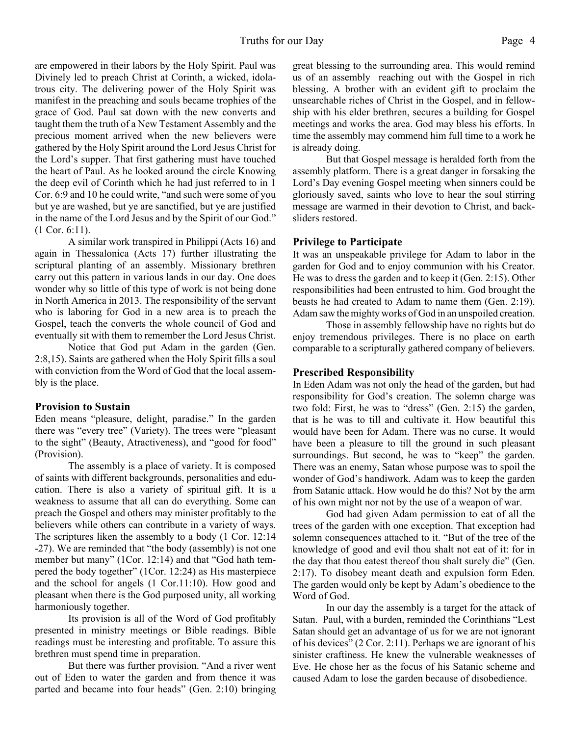#### Truths for our Day Page 4

are empowered in their labors by the Holy Spirit. Paul was Divinely led to preach Christ at Corinth, a wicked, idolatrous city. The delivering power of the Holy Spirit was manifest in the preaching and souls became trophies of the grace of God. Paul sat down with the new converts and taught them the truth of a New Testament Assembly and the precious moment arrived when the new believers were gathered by the Holy Spirit around the Lord Jesus Christ for the Lord's supper. That first gathering must have touched the heart of Paul. As he looked around the circle Knowing the deep evil of Corinth which he had just referred to in 1 Cor. 6:9 and 10 he could write, "and such were some of you but ye are washed, but ye are sanctified, but ye are justified in the name of the Lord Jesus and by the Spirit of our God." (1 Cor. 6:11).

 A similar work transpired in Philippi (Acts 16) and again in Thessalonica (Acts 17) further illustrating the scriptural planting of an assembly. Missionary brethren carry out this pattern in various lands in our day. One does wonder why so little of this type of work is not being done in North America in 2013. The responsibility of the servant who is laboring for God in a new area is to preach the Gospel, teach the converts the whole council of God and eventually sit with them to remember the Lord Jesus Christ.

 Notice that God put Adam in the garden (Gen. 2:8,15). Saints are gathered when the Holy Spirit fills a soul with conviction from the Word of God that the local assembly is the place.

#### **Provision to Sustain**

Eden means "pleasure, delight, paradise." In the garden there was "every tree" (Variety). The trees were "pleasant to the sight" (Beauty, Atractiveness), and "good for food" (Provision).

 The assembly is a place of variety. It is composed of saints with different backgrounds, personalities and education. There is also a variety of spiritual gift. It is a weakness to assume that all can do everything. Some can preach the Gospel and others may minister profitably to the believers while others can contribute in a variety of ways. The scriptures liken the assembly to a body (1 Cor. 12:14 -27). We are reminded that "the body (assembly) is not one member but many" (1Cor. 12:14) and that "God hath tempered the body together" (1Cor. 12:24) as His masterpiece and the school for angels (1 Cor.11:10). How good and pleasant when there is the God purposed unity, all working harmoniously together.

 Its provision is all of the Word of God profitably presented in ministry meetings or Bible readings. Bible readings must be interesting and profitable. To assure this brethren must spend time in preparation.

 But there was further provision. "And a river went out of Eden to water the garden and from thence it was parted and became into four heads" (Gen. 2:10) bringing great blessing to the surrounding area. This would remind us of an assembly reaching out with the Gospel in rich blessing. A brother with an evident gift to proclaim the unsearchable riches of Christ in the Gospel, and in fellowship with his elder brethren, secures a building for Gospel meetings and works the area. God may bless his efforts. In time the assembly may commend him full time to a work he is already doing.

But that Gospel message is heralded forth from the assembly platform. There is a great danger in forsaking the Lord's Day evening Gospel meeting when sinners could be gloriously saved, saints who love to hear the soul stirring message are warmed in their devotion to Christ, and backsliders restored.

#### **Privilege to Participate**

It was an unspeakable privilege for Adam to labor in the garden for God and to enjoy communion with his Creator. He was to dress the garden and to keep it (Gen. 2:15). Other responsibilities had been entrusted to him. God brought the beasts he had created to Adam to name them (Gen. 2:19). Adam saw the mighty works of God in an unspoiled creation.

Those in assembly fellowship have no rights but do enjoy tremendous privileges. There is no place on earth comparable to a scripturally gathered company of believers.

#### **Prescribed Responsibility**

In Eden Adam was not only the head of the garden, but had responsibility for God's creation. The solemn charge was two fold: First, he was to "dress" (Gen. 2:15) the garden, that is he was to till and cultivate it. How beautiful this would have been for Adam. There was no curse. It would have been a pleasure to till the ground in such pleasant surroundings. But second, he was to "keep" the garden. There was an enemy, Satan whose purpose was to spoil the wonder of God's handiwork. Adam was to keep the garden from Satanic attack. How would he do this? Not by the arm of his own might nor not by the use of a weapon of war.

God had given Adam permission to eat of all the trees of the garden with one exception. That exception had solemn consequences attached to it. "But of the tree of the knowledge of good and evil thou shalt not eat of it: for in the day that thou eatest thereof thou shalt surely die" (Gen. 2:17). To disobey meant death and expulsion form Eden. The garden would only be kept by Adam's obedience to the Word of God.

In our day the assembly is a target for the attack of Satan. Paul, with a burden, reminded the Corinthians "Lest Satan should get an advantage of us for we are not ignorant of his devices" (2 Cor. 2:11). Perhaps we are ignorant of his sinister craftiness. He knew the vulnerable weaknesses of Eve. He chose her as the focus of his Satanic scheme and caused Adam to lose the garden because of disobedience.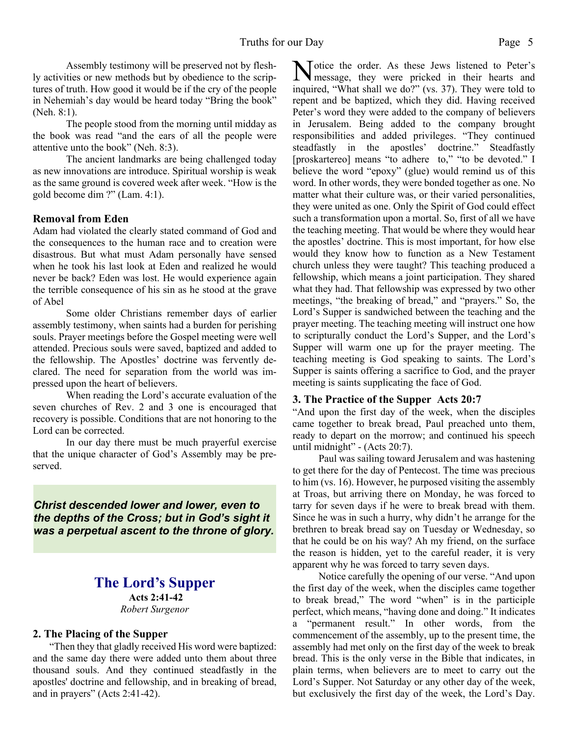Assembly testimony will be preserved not by fleshly activities or new methods but by obedience to the scriptures of truth. How good it would be if the cry of the people in Nehemiah's day would be heard today "Bring the book" (Neh. 8:1).

The people stood from the morning until midday as the book was read "and the ears of all the people were attentive unto the book" (Neh. 8:3).

 The ancient landmarks are being challenged today as new innovations are introduce. Spiritual worship is weak as the same ground is covered week after week. "How is the gold become dim ?" (Lam. 4:1).

#### **Removal from Eden**

Adam had violated the clearly stated command of God and the consequences to the human race and to creation were disastrous. But what must Adam personally have sensed when he took his last look at Eden and realized he would never be back? Eden was lost. He would experience again the terrible consequence of his sin as he stood at the grave of Abel

Some older Christians remember days of earlier assembly testimony, when saints had a burden for perishing souls. Prayer meetings before the Gospel meeting were well attended. Precious souls were saved, baptized and added to the fellowship. The Apostles' doctrine was fervently declared. The need for separation from the world was impressed upon the heart of believers.

When reading the Lord's accurate evaluation of the seven churches of Rev. 2 and 3 one is encouraged that recovery is possible. Conditions that are not honoring to the Lord can be corrected.

In our day there must be much prayerful exercise that the unique character of God's Assembly may be preserved.

*Christ descended lower and lower, even to the depths of the Cross; but in God's sight it was a perpetual ascent to the throne of glory.*

### **The Lord's Supper Acts 2:41-42**

*Robert Surgenor*

#### **2. The Placing of the Supper**

"Then they that gladly received His word were baptized: and the same day there were added unto them about three thousand souls. And they continued steadfastly in the apostles' doctrine and fellowship, and in breaking of bread, and in prayers" (Acts 2:41-42).

Notice the order. As these Jews listened to Peter's<br>message, they were pricked in their hearts and message, they were pricked in their hearts and inquired, "What shall we do?" (vs. 37). They were told to repent and be baptized, which they did. Having received Peter's word they were added to the company of believers in Jerusalem. Being added to the company brought responsibilities and added privileges. "They continued steadfastly in the apostles' doctrine." Steadfastly [proskartereo] means "to adhere to," "to be devoted." I believe the word "epoxy" (glue) would remind us of this word. In other words, they were bonded together as one. No matter what their culture was, or their varied personalities, they were united as one. Only the Spirit of God could effect such a transformation upon a mortal. So, first of all we have the teaching meeting. That would be where they would hear the apostles' doctrine. This is most important, for how else would they know how to function as a New Testament church unless they were taught? This teaching produced a fellowship, which means a joint participation. They shared what they had. That fellowship was expressed by two other meetings, "the breaking of bread," and "prayers." So, the Lord's Supper is sandwiched between the teaching and the prayer meeting. The teaching meeting will instruct one how to scripturally conduct the Lord's Supper, and the Lord's Supper will warm one up for the prayer meeting. The teaching meeting is God speaking to saints. The Lord's Supper is saints offering a sacrifice to God, and the prayer meeting is saints supplicating the face of God.

#### **3. The Practice of the Supper Acts 20:7**

"And upon the first day of the week, when the disciples came together to break bread, Paul preached unto them, ready to depart on the morrow; and continued his speech until midnight" - (Acts 20:7).

Paul was sailing toward Jerusalem and was hastening to get there for the day of Pentecost. The time was precious to him (vs. 16). However, he purposed visiting the assembly at Troas, but arriving there on Monday, he was forced to tarry for seven days if he were to break bread with them. Since he was in such a hurry, why didn't he arrange for the brethren to break bread say on Tuesday or Wednesday, so that he could be on his way? Ah my friend, on the surface the reason is hidden, yet to the careful reader, it is very apparent why he was forced to tarry seven days.

Notice carefully the opening of our verse. "And upon the first day of the week, when the disciples came together to break bread," The word "when" is in the participle perfect, which means, "having done and doing." It indicates a "permanent result." In other words, from the commencement of the assembly, up to the present time, the assembly had met only on the first day of the week to break bread. This is the only verse in the Bible that indicates, in plain terms, when believers are to meet to carry out the Lord's Supper. Not Saturday or any other day of the week, but exclusively the first day of the week, the Lord's Day.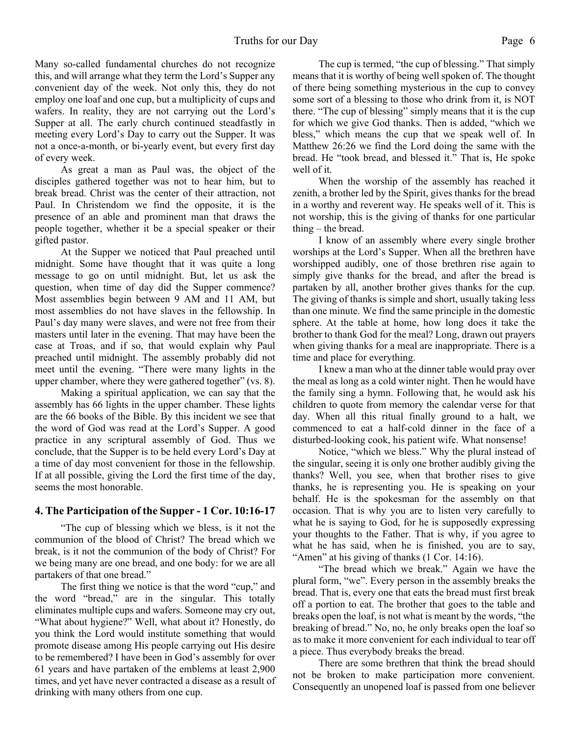Many so-called fundamental churches do not recognize this, and will arrange what they term the Lord's Supper any convenient day of the week. Not only this, they do not employ one loaf and one cup, but a multiplicity of cups and wafers. In reality, they are not carrying out the Lord's Supper at all. The early church continued steadfastly in meeting every Lord's Day to carry out the Supper. It was not a once-a-month, or bi-yearly event, but every first day of every week.

As great a man as Paul was, the object of the disciples gathered together was not to hear him, but to break bread. Christ was the center of their attraction, not Paul. In Christendom we find the opposite, it is the presence of an able and prominent man that draws the people together, whether it be a special speaker or their gifted pastor.

At the Supper we noticed that Paul preached until midnight. Some have thought that it was quite a long message to go on until midnight. But, let us ask the question, when time of day did the Supper commence? Most assemblies begin between 9 AM and 11 AM, but most assemblies do not have slaves in the fellowship. In Paul's day many were slaves, and were not free from their masters until later in the evening. That may have been the case at Troas, and if so, that would explain why Paul preached until midnight. The assembly probably did not meet until the evening. "There were many lights in the upper chamber, where they were gathered together" (vs. 8).

Making a spiritual application, we can say that the assembly has 66 lights in the upper chamber. These lights are the 66 books of the Bible. By this incident we see that the word of God was read at the Lord's Supper. A good practice in any scriptural assembly of God. Thus we conclude, that the Supper is to be held every Lord's Day at a time of day most convenient for those in the fellowship. If at all possible, giving the Lord the first time of the day, seems the most honorable.

#### **4. The Participation of the Supper - 1 Cor. 10:16-17**

"The cup of blessing which we bless, is it not the communion of the blood of Christ? The bread which we break, is it not the communion of the body of Christ? For we being many are one bread, and one body: for we are all partakers of that one bread."

The first thing we notice is that the word "cup," and the word "bread," are in the singular. This totally eliminates multiple cups and wafers. Someone may cry out, "What about hygiene?" Well, what about it? Honestly, do you think the Lord would institute something that would promote disease among His people carrying out His desire to be remembered? I have been in God's assembly for over 61 years and have partaken of the emblems at least 2,900 times, and yet have never contracted a disease as a result of drinking with many others from one cup.

The cup is termed, "the cup of blessing." That simply means that it is worthy of being well spoken of. The thought of there being something mysterious in the cup to convey some sort of a blessing to those who drink from it, is NOT there. "The cup of blessing" simply means that it is the cup for which we give God thanks. Then is added, "which we bless," which means the cup that we speak well of. In Matthew 26:26 we find the Lord doing the same with the bread. He "took bread, and blessed it." That is, He spoke well of it.

When the worship of the assembly has reached it zenith, a brother led by the Spirit, gives thanks for the bread in a worthy and reverent way. He speaks well of it. This is not worship, this is the giving of thanks for one particular thing – the bread.

I know of an assembly where every single brother worships at the Lord's Supper. When all the brethren have worshipped audibly, one of those brethren rise again to simply give thanks for the bread, and after the bread is partaken by all, another brother gives thanks for the cup. The giving of thanks is simple and short, usually taking less than one minute. We find the same principle in the domestic sphere. At the table at home, how long does it take the brother to thank God for the meal? Long, drawn out prayers when giving thanks for a meal are inappropriate. There is a time and place for everything.

I knew a man who at the dinner table would pray over the meal as long as a cold winter night. Then he would have the family sing a hymn. Following that, he would ask his children to quote from memory the calendar verse for that day. When all this ritual finally ground to a halt, we commenced to eat a half-cold dinner in the face of a disturbed-looking cook, his patient wife. What nonsense!

Notice, "which we bless." Why the plural instead of the singular, seeing it is only one brother audibly giving the thanks? Well, you see, when that brother rises to give thanks, he is representing you. He is speaking on your behalf. He is the spokesman for the assembly on that occasion. That is why you are to listen very carefully to what he is saying to God, for he is supposedly expressing your thoughts to the Father. That is why, if you agree to what he has said, when he is finished, you are to say, "Amen" at his giving of thanks (1 Cor. 14:16).

"The bread which we break." Again we have the plural form, "we". Every person in the assembly breaks the bread. That is, every one that eats the bread must first break off a portion to eat. The brother that goes to the table and breaks open the loaf, is not what is meant by the words, "the breaking of bread." No, no, he only breaks open the loaf so as to make it more convenient for each individual to tear off a piece. Thus everybody breaks the bread.

There are some brethren that think the bread should not be broken to make participation more convenient. Consequently an unopened loaf is passed from one believer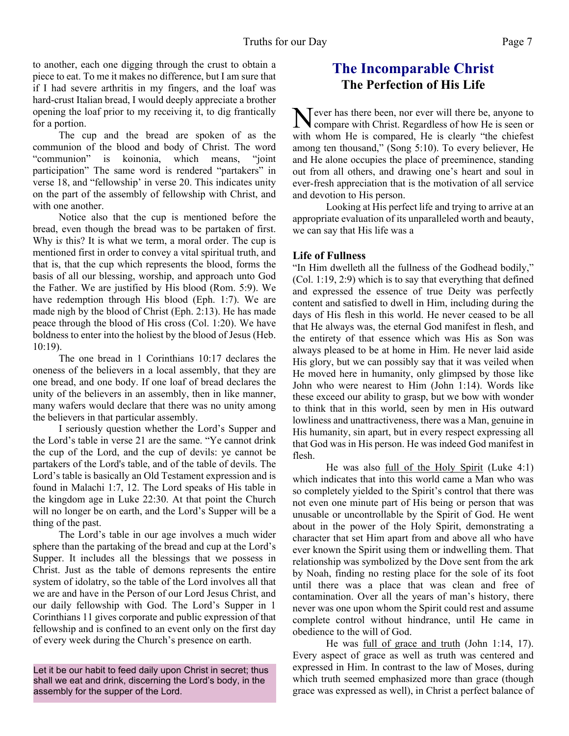to another, each one digging through the crust to obtain a piece to eat. To me it makes no difference, but I am sure that if I had severe arthritis in my fingers, and the loaf was hard-crust Italian bread, I would deeply appreciate a brother opening the loaf prior to my receiving it, to dig frantically for a portion.

The cup and the bread are spoken of as the communion of the blood and body of Christ. The word "communion" is koinonia, which means, "joint participation" The same word is rendered "partakers" in verse 18, and "fellowship' in verse 20. This indicates unity on the part of the assembly of fellowship with Christ, and with one another.

Notice also that the cup is mentioned before the bread, even though the bread was to be partaken of first. Why is this? It is what we term, a moral order. The cup is mentioned first in order to convey a vital spiritual truth, and that is, that the cup which represents the blood, forms the basis of all our blessing, worship, and approach unto God the Father. We are justified by His blood (Rom. 5:9). We have redemption through His blood (Eph. 1:7). We are made nigh by the blood of Christ (Eph. 2:13). He has made peace through the blood of His cross (Col. 1:20). We have boldness to enter into the holiest by the blood of Jesus (Heb. 10:19).

The one bread in 1 Corinthians 10:17 declares the oneness of the believers in a local assembly, that they are one bread, and one body. If one loaf of bread declares the unity of the believers in an assembly, then in like manner, many wafers would declare that there was no unity among the believers in that particular assembly.

I seriously question whether the Lord's Supper and the Lord's table in verse 21 are the same. "Ye cannot drink the cup of the Lord, and the cup of devils: ye cannot be partakers of the Lord's table, and of the table of devils. The Lord's table is basically an Old Testament expression and is found in Malachi 1:7, 12. The Lord speaks of His table in the kingdom age in Luke 22:30. At that point the Church will no longer be on earth, and the Lord's Supper will be a thing of the past.

The Lord's table in our age involves a much wider sphere than the partaking of the bread and cup at the Lord's Supper. It includes all the blessings that we possess in Christ. Just as the table of demons represents the entire system of idolatry, so the table of the Lord involves all that we are and have in the Person of our Lord Jesus Christ, and our daily fellowship with God. The Lord's Supper in 1 Corinthians 11 gives corporate and public expression of that fellowship and is confined to an event only on the first day of every week during the Church's presence on earth.

Let it be our habit to feed daily upon Christ in secret; thus shall we eat and drink, discerning the Lord's body, in the assembly for the supper of the Lord.

# **The Incomparable Christ The Perfection of His Life**

Never has there been, nor ever will there be, anyone to<br>compare with Christ. Regardless of how He is seen or compare with Christ. Regardless of how He is seen or with whom He is compared, He is clearly "the chiefest among ten thousand," (Song 5:10). To every believer, He and He alone occupies the place of preeminence, standing out from all others, and drawing one's heart and soul in ever-fresh appreciation that is the motivation of all service and devotion to His person.

 Looking at His perfect life and trying to arrive at an appropriate evaluation of its unparalleled worth and beauty, we can say that His life was a

#### **Life of Fullness**

"In Him dwelleth all the fullness of the Godhead bodily," (Col. 1:19, 2:9) which is to say that everything that defined and expressed the essence of true Deity was perfectly content and satisfied to dwell in Him, including during the days of His flesh in this world. He never ceased to be all that He always was, the eternal God manifest in flesh, and the entirety of that essence which was His as Son was always pleased to be at home in Him. He never laid aside His glory, but we can possibly say that it was veiled when He moved here in humanity, only glimpsed by those like John who were nearest to Him (John 1:14). Words like these exceed our ability to grasp, but we bow with wonder to think that in this world, seen by men in His outward lowliness and unattractiveness, there was a Man, genuine in His humanity, sin apart, but in every respect expressing all that God was in His person. He was indeed God manifest in flesh.

 He was also full of the Holy Spirit (Luke 4:1) which indicates that into this world came a Man who was so completely yielded to the Spirit's control that there was not even one minute part of His being or person that was unusable or uncontrollable by the Spirit of God. He went about in the power of the Holy Spirit, demonstrating a character that set Him apart from and above all who have ever known the Spirit using them or indwelling them. That relationship was symbolized by the Dove sent from the ark by Noah, finding no resting place for the sole of its foot until there was a place that was clean and free of contamination. Over all the years of man's history, there never was one upon whom the Spirit could rest and assume complete control without hindrance, until He came in obedience to the will of God.

 He was full of grace and truth (John 1:14, 17). Every aspect of grace as well as truth was centered and expressed in Him. In contrast to the law of Moses, during which truth seemed emphasized more than grace (though grace was expressed as well), in Christ a perfect balance of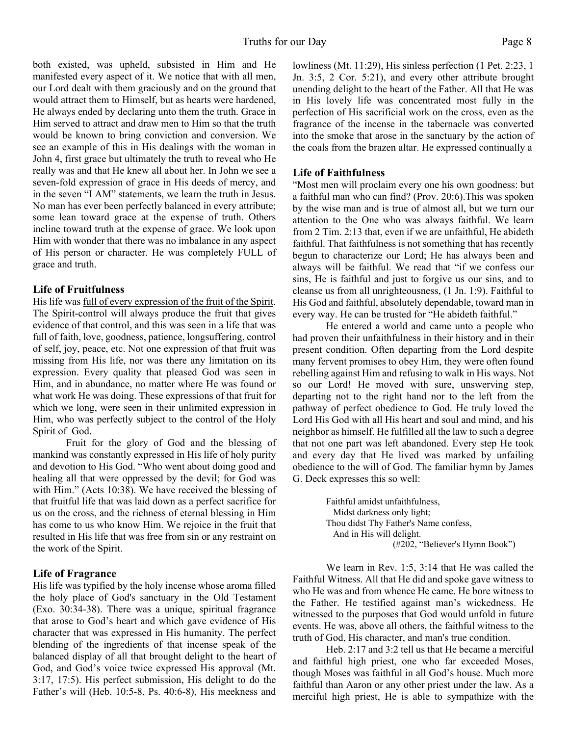both existed, was upheld, subsisted in Him and He manifested every aspect of it. We notice that with all men, our Lord dealt with them graciously and on the ground that would attract them to Himself, but as hearts were hardened, He always ended by declaring unto them the truth. Grace in Him served to attract and draw men to Him so that the truth would be known to bring conviction and conversion. We see an example of this in His dealings with the woman in John 4, first grace but ultimately the truth to reveal who He really was and that He knew all about her. In John we see a seven-fold expression of grace in His deeds of mercy, and in the seven "I AM" statements, we learn the truth in Jesus. No man has ever been perfectly balanced in every attribute; some lean toward grace at the expense of truth. Others incline toward truth at the expense of grace. We look upon Him with wonder that there was no imbalance in any aspect of His person or character. He was completely FULL of grace and truth.

#### **Life of Fruitfulness**

His life was full of every expression of the fruit of the Spirit. The Spirit-control will always produce the fruit that gives evidence of that control, and this was seen in a life that was full of faith, love, goodness, patience, longsuffering, control of self, joy, peace, etc. Not one expression of that fruit was missing from His life, nor was there any limitation on its expression. Every quality that pleased God was seen in Him, and in abundance, no matter where He was found or what work He was doing. These expressions of that fruit for which we long, were seen in their unlimited expression in Him, who was perfectly subject to the control of the Holy Spirit of God.

 Fruit for the glory of God and the blessing of mankind was constantly expressed in His life of holy purity and devotion to His God. "Who went about doing good and healing all that were oppressed by the devil; for God was with Him." (Acts 10:38). We have received the blessing of that fruitful life that was laid down as a perfect sacrifice for us on the cross, and the richness of eternal blessing in Him has come to us who know Him. We rejoice in the fruit that resulted in His life that was free from sin or any restraint on the work of the Spirit.

#### **Life of Fragrance**

His life was typified by the holy incense whose aroma filled the holy place of God's sanctuary in the Old Testament (Exo. 30:34-38). There was a unique, spiritual fragrance that arose to God's heart and which gave evidence of His character that was expressed in His humanity. The perfect blending of the ingredients of that incense speak of the balanced display of all that brought delight to the heart of God, and God's voice twice expressed His approval (Mt. 3:17, 17:5). His perfect submission, His delight to do the Father's will (Heb. 10:5-8, Ps. 40:6-8), His meekness and

lowliness (Mt. 11:29), His sinless perfection (1 Pet. 2:23, 1 Jn. 3:5, 2 Cor. 5:21), and every other attribute brought unending delight to the heart of the Father. All that He was in His lovely life was concentrated most fully in the perfection of His sacrificial work on the cross, even as the fragrance of the incense in the tabernacle was converted into the smoke that arose in the sanctuary by the action of the coals from the brazen altar. He expressed continually a

#### **Life of Faithfulness**

"Most men will proclaim every one his own goodness: but a faithful man who can find? (Prov. 20:6).This was spoken by the wise man and is true of almost all, but we turn our attention to the One who was always faithful. We learn from 2 Tim. 2:13 that, even if we are unfaithful, He abideth faithful. That faithfulness is not something that has recently begun to characterize our Lord; He has always been and always will be faithful. We read that "if we confess our sins, He is faithful and just to forgive us our sins, and to cleanse us from all unrighteousness, (1 Jn. 1:9). Faithful to His God and faithful, absolutely dependable, toward man in every way. He can be trusted for "He abideth faithful."

 He entered a world and came unto a people who had proven their unfaithfulness in their history and in their present condition. Often departing from the Lord despite many fervent promises to obey Him, they were often found rebelling against Him and refusing to walk in His ways. Not so our Lord! He moved with sure, unswerving step, departing not to the right hand nor to the left from the pathway of perfect obedience to God. He truly loved the Lord His God with all His heart and soul and mind, and his neighbor as himself. He fulfilled all the law to such a degree that not one part was left abandoned. Every step He took and every day that He lived was marked by unfailing obedience to the will of God. The familiar hymn by James G. Deck expresses this so well:

> Faithful amidst unfaithfulness, Midst darkness only light; Thou didst Thy Father's Name confess, And in His will delight. (#202, "Believer's Hymn Book")

We learn in Rev. 1:5, 3:14 that He was called the Faithful Witness. All that He did and spoke gave witness to who He was and from whence He came. He bore witness to the Father. He testified against man's wickedness. He witnessed to the purposes that God would unfold in future events. He was, above all others, the faithful witness to the truth of God, His character, and man's true condition.

 Heb. 2:17 and 3:2 tell us that He became a merciful and faithful high priest, one who far exceeded Moses, though Moses was faithful in all God's house. Much more faithful than Aaron or any other priest under the law. As a merciful high priest, He is able to sympathize with the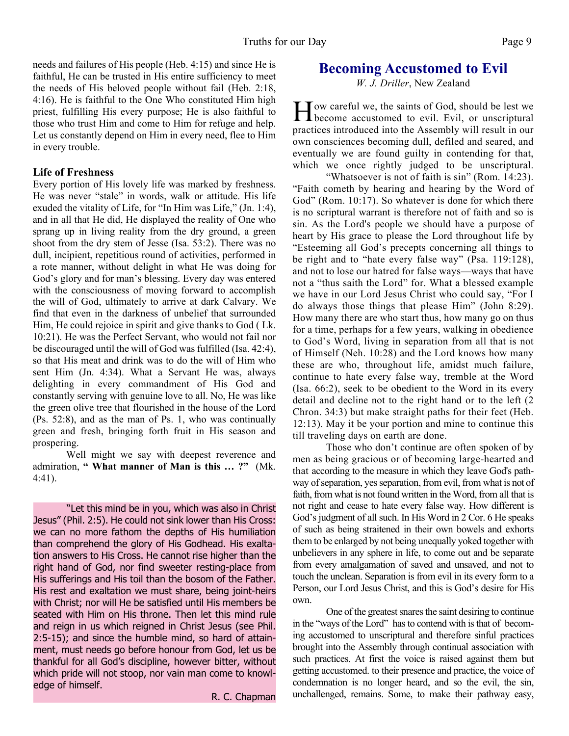needs and failures of His people (Heb. 4:15) and since He is faithful, He can be trusted in His entire sufficiency to meet the needs of His beloved people without fail (Heb. 2:18, 4:16). He is faithful to the One Who constituted Him high priest, fulfilling His every purpose; He is also faithful to those who trust Him and come to Him for refuge and help. Let us constantly depend on Him in every need, flee to Him in every trouble.

#### **Life of Freshness**

Every portion of His lovely life was marked by freshness. He was never "stale" in words, walk or attitude. His life exuded the vitality of Life, for "In Him was Life," (Jn. 1:4), and in all that He did, He displayed the reality of One who sprang up in living reality from the dry ground, a green shoot from the dry stem of Jesse (Isa. 53:2). There was no dull, incipient, repetitious round of activities, performed in a rote manner, without delight in what He was doing for God's glory and for man's blessing. Every day was entered with the consciousness of moving forward to accomplish the will of God, ultimately to arrive at dark Calvary. We find that even in the darkness of unbelief that surrounded Him, He could rejoice in spirit and give thanks to God ( Lk. 10:21). He was the Perfect Servant, who would not fail nor be discouraged until the will of God was fulfilled (Isa. 42:4), so that His meat and drink was to do the will of Him who sent Him (Jn. 4:34). What a Servant He was, always delighting in every commandment of His God and constantly serving with genuine love to all. No, He was like the green olive tree that flourished in the house of the Lord (Ps. 52:8), and as the man of Ps. 1, who was continually green and fresh, bringing forth fruit in His season and prospering.

Well might we say with deepest reverence and admiration, **" What manner of Man is this … ?"** (Mk. 4:41).

"Let this mind be in you, which was also in Christ Jesus" (Phil. 2:5). He could not sink lower than His Cross: we can no more fathom the depths of His humiliation than comprehend the glory of His Godhead. His exaltation answers to His Cross. He cannot rise higher than the right hand of God, nor find sweeter resting-place from His sufferings and His toil than the bosom of the Father. His rest and exaltation we must share, being joint-heirs with Christ; nor will He be satisfied until His members be seated with Him on His throne. Then let this mind rule and reign in us which reigned in Christ Jesus (see Phil. 2:5-15); and since the humble mind, so hard of attainment, must needs go before honour from God, let us be thankful for all God's discipline, however bitter, without which pride will not stoop, nor vain man come to knowledge of himself.

R. C. Chapman

# **Becoming Accustomed to Evil**

*W. J. Driller*, New Zealand

H ow careful we, the saints of God, should be lest we<br>become accustomed to evil. Evil, or unscriptural Tow careful we, the saints of God, should be lest we practices introduced into the Assembly will result in our own consciences becoming dull, defiled and seared, and eventually we are found guilty in contending for that, which we once rightly judged to be unscriptural.

 "Whatsoever is not of faith is sin" (Rom. 14:23). "Faith cometh by hearing and hearing by the Word of God" (Rom. 10:17). So whatever is done for which there is no scriptural warrant is therefore not of faith and so is sin. As the Lord's people we should have a purpose of heart by His grace to please the Lord throughout life by "Esteeming all God's precepts concerning all things to be right and to "hate every false way" (Psa. 119:128), and not to lose our hatred for false ways—ways that have not a "thus saith the Lord" for. What a blessed example we have in our Lord Jesus Christ who could say, "For I do always those things that please Him" (John 8:29). How many there are who start thus, how many go on thus for a time, perhaps for a few years, walking in obedience to God's Word, living in separation from all that is not of Himself (Neh. 10:28) and the Lord knows how many these are who, throughout life, amidst much failure, continue to hate every false way, tremble at the Word (Isa. 66:2), seek to be obedient to the Word in its every detail and decline not to the right hand or to the left (2 Chron. 34:3) but make straight paths for their feet (Heb. 12:13). May it be your portion and mine to continue this till traveling days on earth are done.

 Those who don't continue are often spoken of by men as being gracious or of becoming large-hearted and that according to the measure in which they leave God's pathway of separation, yes separation, from evil, from what is not of faith, from what is not found written in the Word, from all that is not right and cease to hate every false way. How different is God's judgment of all such. In His Word in 2 Cor. 6 He speaks of such as being straitened in their own bowels and exhorts them to be enlarged by not being unequally yoked together with unbelievers in any sphere in life, to come out and be separate from every amalgamation of saved and unsaved, and not to touch the unclean. Separation is from evil in its every form to a Person, our Lord Jesus Christ, and this is God's desire for His own.

 One of the greatest snares the saint desiring to continue in the "ways of the Lord" has to contend with is that of becoming accustomed to unscriptural and therefore sinful practices brought into the Assembly through continual association with such practices. At first the voice is raised against them but getting accustomed. to their presence and practice, the voice of condemnation is no longer heard, and so the evil, the sin, unchallenged, remains. Some, to make their pathway easy,